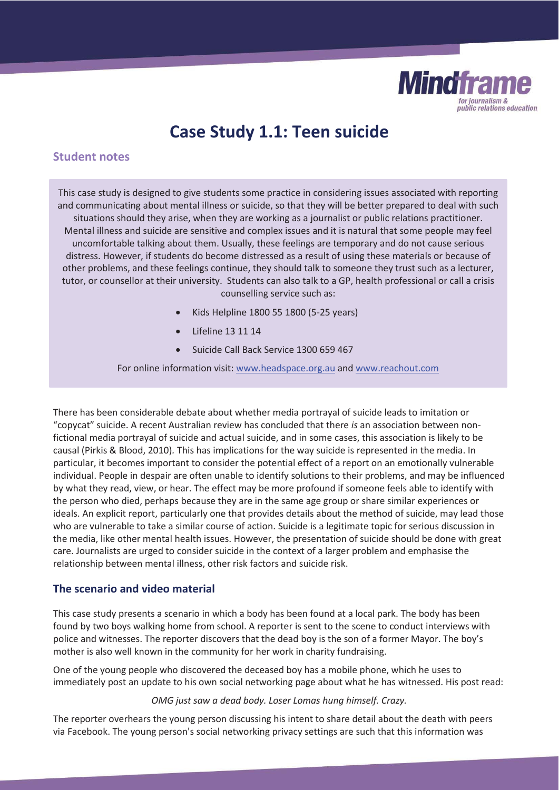

# **Case Study 1.1: Teen suicide**

# **Student notes**

This case study is designed to give students some practice in considering issues associated with reporting and communicating about mental illness or suicide, so that they will be better prepared to deal with such situations should they arise, when they are working as a journalist or public relations practitioner. Mental illness and suicide are sensitive and complex issues and it is natural that some people may feel uncomfortable talking about them. Usually, these feelings are temporary and do not cause serious distress. However, if students do become distressed as a result of using these materials or because of other problems, and these feelings continue, they should talk to someone they trust such as a lecturer, tutor, or counsellor at their university. Students can also talk to a GP, health professional or call a crisis counselling service such as:

- x Kids Helpline 1800 55 1800 (5-25 years)
- Lifeline 13 11 14
- Suicide Call Back Service 1300 659 467

For online information visit: www.headspace.org.au and www.reachout.com

There has been considerable debate about whether media portrayal of suicide leads to imitation or "copycat" suicide. A recent Australian review has concluded that there *is* an association between nonfictional media portrayal of suicide and actual suicide, and in some cases, this association is likely to be causal (Pirkis & Blood, 2010)*.* This has implications for the way suicide is represented in the media. In particular, it becomes important to consider the potential effect of a report on an emotionally vulnerable individual. People in despair are often unable to identify solutions to their problems, and may be influenced by what they read, view, or hear. The effect may be more profound if someone feels able to identify with the person who died, perhaps because they are in the same age group or share similar experiences or ideals. An explicit report, particularly one that provides details about the method of suicide, may lead those who are vulnerable to take a similar course of action. Suicide is a legitimate topic for serious discussion in the media, like other mental health issues. However, the presentation of suicide should be done with great care. Journalists are urged to consider suicide in the context of a larger problem and emphasise the relationship between mental illness, other risk factors and suicide risk.

## **The scenario and video material**

This case study presents a scenario in which a body has been found at a local park. The body has been found by two boys walking home from school. A reporter is sent to the scene to conduct interviews with police and witnesses. The reporter discovers that the dead boy is the son of a former Mayor. The boy's mother is also well known in the community for her work in charity fundraising.

One of the young people who discovered the deceased boy has a mobile phone, which he uses to immediately post an update to his own social networking page about what he has witnessed. His post read:

#### *OMG just saw a dead body. Loser Lomas hung himself. Crazy.*

The reporter overhears the young person discussing his intent to share detail about the death with peers via Facebook. The young person's social networking privacy settings are such that this information was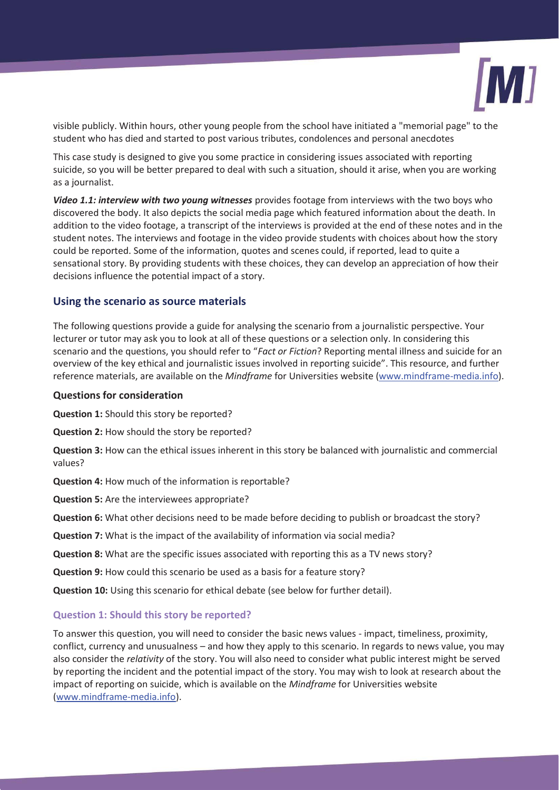

visible publicly. Within hours, other young people from the school have initiated a "memorial page" to the student who has died and started to post various tributes, condolences and personal anecdotes

This case study is designed to give you some practice in considering issues associated with reporting suicide, so you will be better prepared to deal with such a situation, should it arise, when you are working as a journalist.

*Video 1.1: interview with two young witnesses* provides footage from interviews with the two boys who discovered the body. It also depicts the social media page which featured information about the death. In addition to the video footage, a transcript of the interviews is provided at the end of these notes and in the student notes. The interviews and footage in the video provide students with choices about how the story could be reported. Some of the information, quotes and scenes could, if reported, lead to quite a sensational story. By providing students with these choices, they can develop an appreciation of how their decisions influence the potential impact of a story.

### **Using the scenario as source materials**

The following questions provide a guide for analysing the scenario from a journalistic perspective. Your lecturer or tutor may ask you to look at all of these questions or a selection only. In considering this scenario and the questions, you should refer to "*Fact or Fiction*? Reporting mental illness and suicide for an overview of the key ethical and journalistic issues involved in reporting suicide". This resource, and further reference materials, are available on the *Mindframe* for Universities website (www.mindframe-media.info).

#### **Questions for consideration**

**Question 1:** Should this story be reported?

**Question 2:** How should the story be reported?

**Question 3:** How can the ethical issues inherent in this story be balanced with journalistic and commercial values?

**Question 4:** How much of the information is reportable?

**Question 5:** Are the interviewees appropriate?

**Question 6:** What other decisions need to be made before deciding to publish or broadcast the story?

**Question 7:** What is the impact of the availability of information via social media?

**Question 8:** What are the specific issues associated with reporting this as a TV news story?

**Question 9:** How could this scenario be used as a basis for a feature story?

**Question 10:** Using this scenario for ethical debate (see below for further detail).

#### **Question 1: Should this story be reported?**

To answer this question, you will need to consider the basic news values - impact, timeliness, proximity, conflict, currency and unusualness – and how they apply to this scenario. In regards to news value, you may also consider the *relativity* of the story. You will also need to consider what public interest might be served by reporting the incident and the potential impact of the story. You may wish to look at research about the impact of reporting on suicide, which is available on the *Mindframe* for Universities website (www.mindframe-media.info).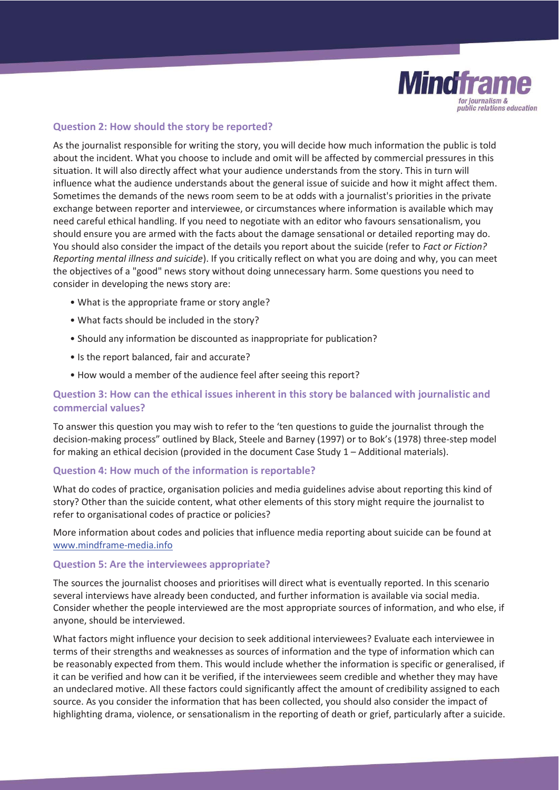

## **Question 2: How should the story be reported?**

As the journalist responsible for writing the story, you will decide how much information the public is told about the incident. What you choose to include and omit will be affected by commercial pressures in this situation. It will also directly affect what your audience understands from the story. This in turn will influence what the audience understands about the general issue of suicide and how it might affect them. Sometimes the demands of the news room seem to be at odds with a journalist's priorities in the private exchange between reporter and interviewee, or circumstances where information is available which may need careful ethical handling. If you need to negotiate with an editor who favours sensationalism, you should ensure you are armed with the facts about the damage sensational or detailed reporting may do. You should also consider the impact of the details you report about the suicide (refer to *Fact or Fiction? Reporting mental illness and suicide*). If you critically reflect on what you are doing and why, you can meet the objectives of a "good" news story without doing unnecessary harm. Some questions you need to consider in developing the news story are:

- What is the appropriate frame or story angle?
- What facts should be included in the story?
- Should any information be discounted as inappropriate for publication?
- Is the report balanced, fair and accurate?
- How would a member of the audience feel after seeing this report?

## **Question 3: How can the ethical issues inherent in this story be balanced with journalistic and commercial values?**

To answer this question you may wish to refer to the 'ten questions to guide the journalist through the decision-making process" outlined by Black, Steele and Barney (1997) or to Bok's (1978) three-step model for making an ethical decision (provided in the document Case Study 1 – Additional materials).

#### **Question 4: How much of the information is reportable?**

What do codes of practice, organisation policies and media guidelines advise about reporting this kind of story? Other than the suicide content, what other elements of this story might require the journalist to refer to organisational codes of practice or policies?

More information about codes and policies that influence media reporting about suicide can be found at www.mindframe-media.info

#### **Question 5: Are the interviewees appropriate?**

The sources the journalist chooses and prioritises will direct what is eventually reported. In this scenario several interviews have already been conducted, and further information is available via social media. Consider whether the people interviewed are the most appropriate sources of information, and who else, if anyone, should be interviewed.

What factors might influence your decision to seek additional interviewees? Evaluate each interviewee in terms of their strengths and weaknesses as sources of information and the type of information which can be reasonably expected from them. This would include whether the information is specific or generalised, if it can be verified and how can it be verified, if the interviewees seem credible and whether they may have an undeclared motive. All these factors could significantly affect the amount of credibility assigned to each source. As you consider the information that has been collected, you should also consider the impact of highlighting drama, violence, or sensationalism in the reporting of death or grief, particularly after a suicide.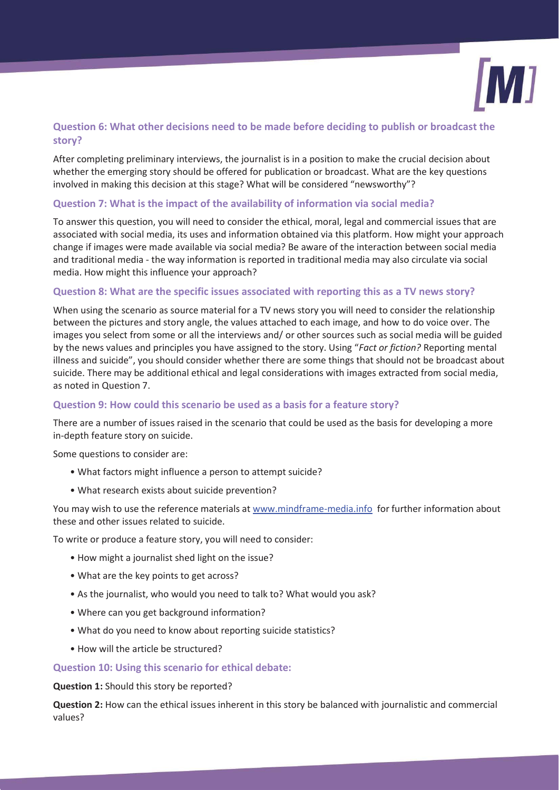

# **Question 6: What other decisions need to be made before deciding to publish or broadcast the story?**

After completing preliminary interviews, the journalist is in a position to make the crucial decision about whether the emerging story should be offered for publication or broadcast. What are the key questions involved in making this decision at this stage? What will be considered "newsworthy"?

## **Question 7: What is the impact of the availability of information via social media?**

To answer this question, you will need to consider the ethical, moral, legal and commercial issues that are associated with social media, its uses and information obtained via this platform. How might your approach change if images were made available via social media? Be aware of the interaction between social media and traditional media - the way information is reported in traditional media may also circulate via social media. How might this influence your approach?

## **Question 8: What are the specific issues associated with reporting this as a TV news story?**

When using the scenario as source material for a TV news story you will need to consider the relationship between the pictures and story angle, the values attached to each image, and how to do voice over. The images you select from some or all the interviews and/ or other sources such as social media will be guided by the news values and principles you have assigned to the story. Using "*Fact or fiction?* Reporting mental illness and suicide", you should consider whether there are some things that should not be broadcast about suicide. There may be additional ethical and legal considerations with images extracted from social media, as noted in Question 7.

## **Question 9: How could this scenario be used as a basis for a feature story?**

There are a number of issues raised in the scenario that could be used as the basis for developing a more in-depth feature story on suicide.

Some questions to consider are:

- What factors might influence a person to attempt suicide?
- What research exists about suicide prevention?

You may wish to use the reference materials at www.mindframe-media.info for further information about these and other issues related to suicide.

To write or produce a feature story, you will need to consider:

- How might a journalist shed light on the issue?
- What are the key points to get across?
- As the journalist, who would you need to talk to? What would you ask?
- Where can you get background information?
- What do you need to know about reporting suicide statistics?
- How will the article be structured?

#### **Question 10: Using this scenario for ethical debate:**

**Question 1:** Should this story be reported?

**Question 2:** How can the ethical issues inherent in this story be balanced with journalistic and commercial values?